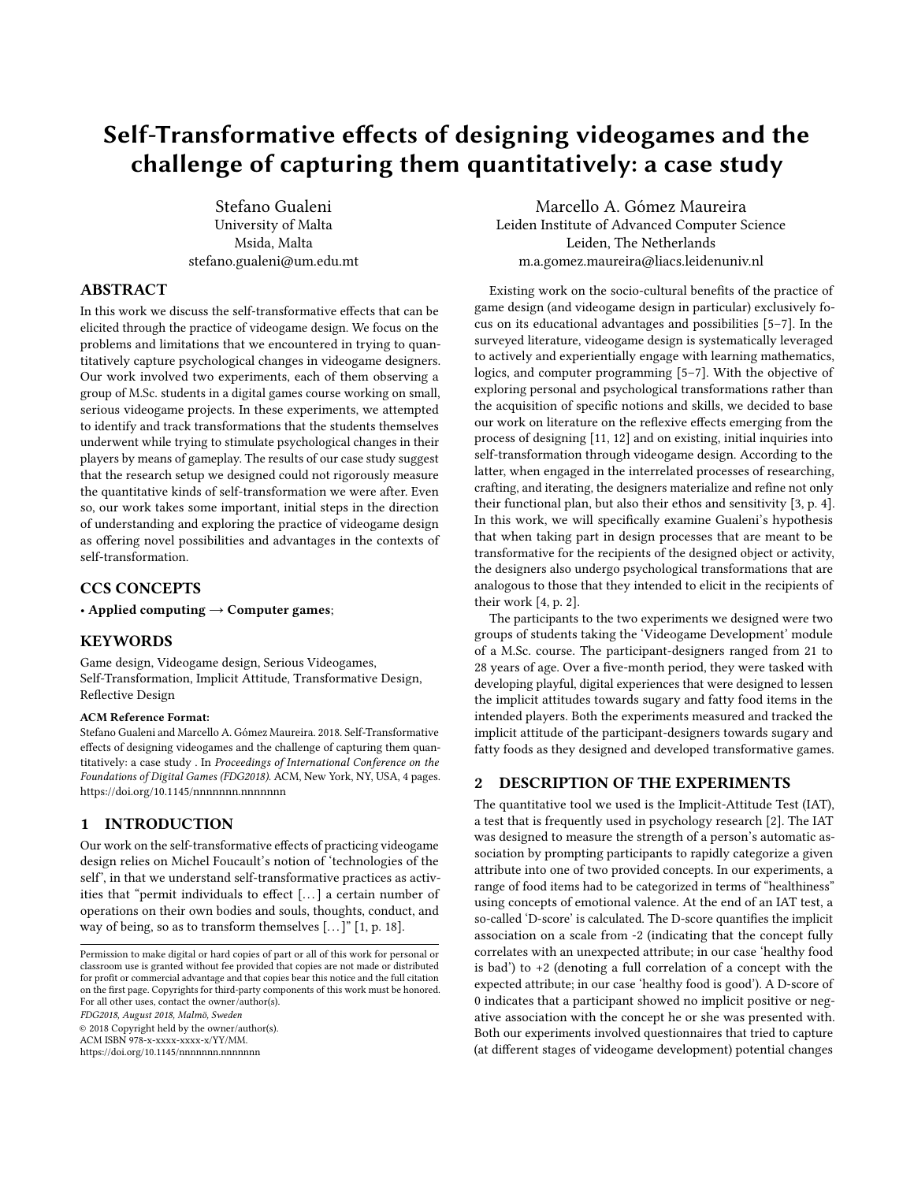# Self-Transformative effects of designing videogames and the challenge of capturing them quantitatively: a case study

Stefano Gualeni University of Malta Msida, Malta stefano.gualeni@um.edu.mt

### ABSTRACT

In this work we discuss the self-transformative effects that can be elicited through the practice of videogame design. We focus on the problems and limitations that we encountered in trying to quantitatively capture psychological changes in videogame designers. Our work involved two experiments, each of them observing a group of M.Sc. students in a digital games course working on small, serious videogame projects. In these experiments, we attempted to identify and track transformations that the students themselves underwent while trying to stimulate psychological changes in their players by means of gameplay. The results of our case study suggest that the research setup we designed could not rigorously measure the quantitative kinds of self-transformation we were after. Even so, our work takes some important, initial steps in the direction of understanding and exploring the practice of videogame design as offering novel possibilities and advantages in the contexts of self-transformation.

#### CCS CONCEPTS

• Applied computing  $\rightarrow$  Computer games;

# **KEYWORDS**

Game design, Videogame design, Serious Videogames, Self-Transformation, Implicit Attitude, Transformative Design, Reflective Design

#### ACM Reference Format:

Stefano Gualeni and Marcello A. Gómez Maureira. 2018. Self-Transformative effects of designing videogames and the challenge of capturing them quantitatively: a case study . In Proceedings of International Conference on the Foundations of Digital Games (FDG2018). ACM, New York, NY, USA, [4](#page-3-0) pages. <https://doi.org/10.1145/nnnnnnn.nnnnnnn>

### 1 INTRODUCTION

Our work on the self-transformative effects of practicing videogame design relies on Michel Foucault's notion of 'technologies of the self', in that we understand self-transformative practices as activities that "permit individuals to effect [...] a certain number of operations on their own bodies and souls, thoughts, conduct, and way of being, so as to transform themselves [...]" [\[1,](#page-3-1) p. 18].

© 2018 Copyright held by the owner/author(s).

ACM ISBN 978-x-xxxx-xxxx-x/YY/MM.

<https://doi.org/10.1145/nnnnnnn.nnnnnnn>

Marcello A. Gómez Maureira Leiden Institute of Advanced Computer Science Leiden, The Netherlands m.a.gomez.maureira@liacs.leidenuniv.nl

Existing work on the socio-cultural benefits of the practice of game design (and videogame design in particular) exclusively focus on its educational advantages and possibilities [\[5–](#page-3-2)[7\]](#page-3-3). In the surveyed literature, videogame design is systematically leveraged to actively and experientially engage with learning mathematics, logics, and computer programming [\[5–](#page-3-2)[7\]](#page-3-3). With the objective of exploring personal and psychological transformations rather than the acquisition of specific notions and skills, we decided to base our work on literature on the reflexive effects emerging from the process of designing [\[11,](#page-3-4) [12\]](#page-3-5) and on existing, initial inquiries into self-transformation through videogame design. According to the latter, when engaged in the interrelated processes of researching, crafting, and iterating, the designers materialize and refine not only their functional plan, but also their ethos and sensitivity [\[3,](#page-3-6) p. 4]. In this work, we will specifically examine Gualeni's hypothesis that when taking part in design processes that are meant to be transformative for the recipients of the designed object or activity, the designers also undergo psychological transformations that are analogous to those that they intended to elicit in the recipients of their work  $[4, p. 2]$  $[4, p. 2]$ .

The participants to the two experiments we designed were two groups of students taking the 'Videogame Development' module of a M.Sc. course. The participant-designers ranged from 21 to 28 years of age. Over a five-month period, they were tasked with developing playful, digital experiences that were designed to lessen the implicit attitudes towards sugary and fatty food items in the intended players. Both the experiments measured and tracked the implicit attitude of the participant-designers towards sugary and fatty foods as they designed and developed transformative games.

# 2 DESCRIPTION OF THE EXPERIMENTS

The quantitative tool we used is the Implicit-Attitude Test (IAT), a test that is frequently used in psychology research [\[2\]](#page-3-8). The IAT was designed to measure the strength of a person's automatic association by prompting participants to rapidly categorize a given attribute into one of two provided concepts. In our experiments, a range of food items had to be categorized in terms of "healthiness" using concepts of emotional valence. At the end of an IAT test, a so-called 'D-score' is calculated. The D-score quantifies the implicit association on a scale from -2 (indicating that the concept fully correlates with an unexpected attribute; in our case 'healthy food is bad') to +2 (denoting a full correlation of a concept with the expected attribute; in our case 'healthy food is good'). A D-score of 0 indicates that a participant showed no implicit positive or negative association with the concept he or she was presented with. Both our experiments involved questionnaires that tried to capture (at different stages of videogame development) potential changes

Permission to make digital or hard copies of part or all of this work for personal or classroom use is granted without fee provided that copies are not made or distributed for profit or commercial advantage and that copies bear this notice and the full citation on the first page. Copyrights for third-party components of this work must be honored. For all other uses, contact the owner/author(s). FDG2018, August 2018, Malmö, Sweden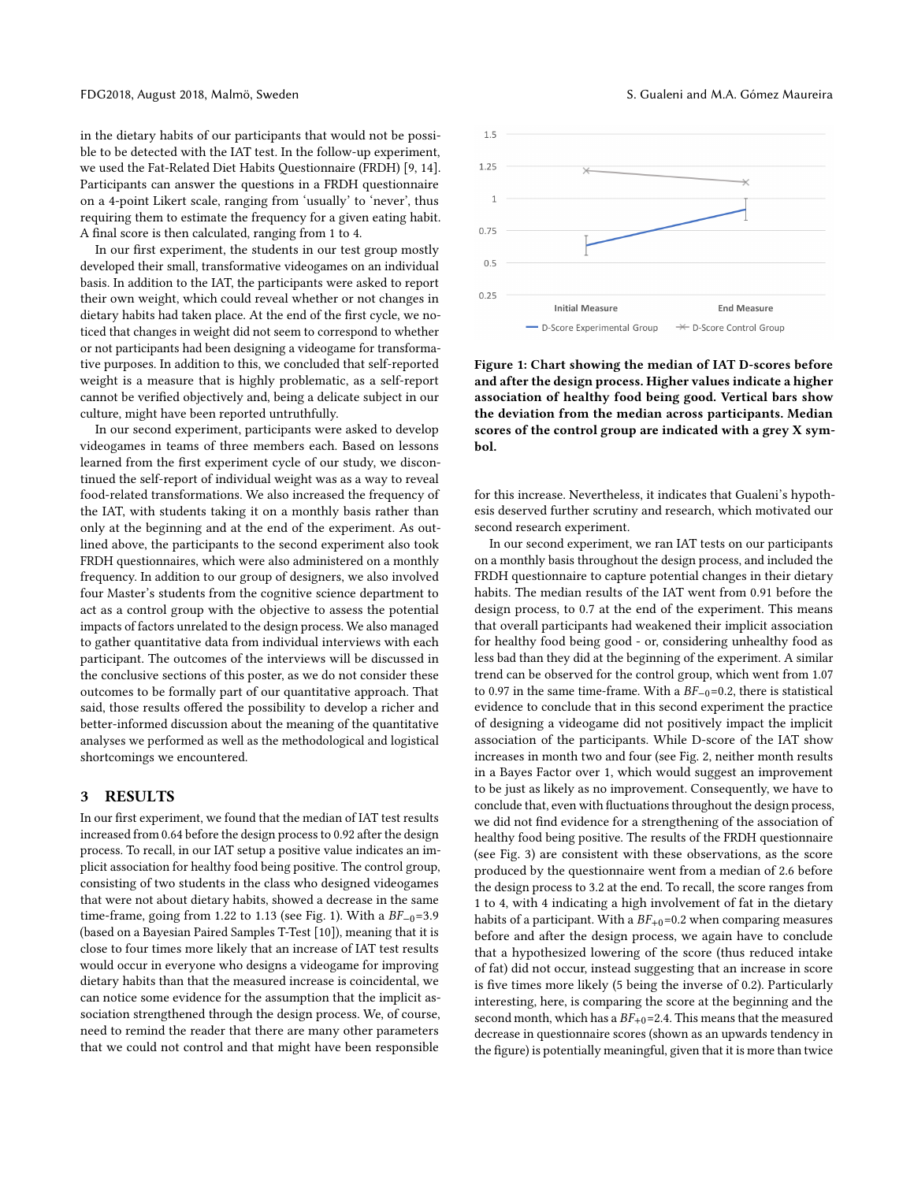in the dietary habits of our participants that would not be possible to be detected with the IAT test. In the follow-up experiment, we used the Fat-Related Diet Habits Questionnaire (FRDH) [\[9,](#page-3-9) [14\]](#page-3-10). Participants can answer the questions in a FRDH questionnaire on a 4-point Likert scale, ranging from 'usually' to 'never', thus requiring them to estimate the frequency for a given eating habit. A final score is then calculated, ranging from 1 to 4.

In our first experiment, the students in our test group mostly developed their small, transformative videogames on an individual basis. In addition to the IAT, the participants were asked to report their own weight, which could reveal whether or not changes in dietary habits had taken place. At the end of the first cycle, we noticed that changes in weight did not seem to correspond to whether or not participants had been designing a videogame for transformative purposes. In addition to this, we concluded that self-reported weight is a measure that is highly problematic, as a self-report cannot be verified objectively and, being a delicate subject in our culture, might have been reported untruthfully.

In our second experiment, participants were asked to develop videogames in teams of three members each. Based on lessons learned from the first experiment cycle of our study, we discontinued the self-report of individual weight was as a way to reveal food-related transformations. We also increased the frequency of the IAT, with students taking it on a monthly basis rather than only at the beginning and at the end of the experiment. As outlined above, the participants to the second experiment also took FRDH questionnaires, which were also administered on a monthly frequency. In addition to our group of designers, we also involved four Master's students from the cognitive science department to act as a control group with the objective to assess the potential impacts of factors unrelated to the design process. We also managed to gather quantitative data from individual interviews with each participant. The outcomes of the interviews will be discussed in the conclusive sections of this poster, as we do not consider these outcomes to be formally part of our quantitative approach. That said, those results offered the possibility to develop a richer and better-informed discussion about the meaning of the quantitative analyses we performed as well as the methodological and logistical shortcomings we encountered.

## 3 RESULTS

In our first experiment, we found that the median of IAT test results increased from 0.64 before the design process to 0.92 after the design process. To recall, in our IAT setup a positive value indicates an implicit association for healthy food being positive. The control group, consisting of two students in the class who designed videogames that were not about dietary habits, showed a decrease in the same time-frame, going from 1.22 to 1.13 (see Fig. [1\)](#page-1-0). With a  $BF_{-0}=3.9$ (based on a Bayesian Paired Samples T-Test [\[10\]](#page-3-11)), meaning that it is close to four times more likely that an increase of IAT test results would occur in everyone who designs a videogame for improving dietary habits than that the measured increase is coincidental, we can notice some evidence for the assumption that the implicit association strengthened through the design process. We, of course, need to remind the reader that there are many other parameters that we could not control and that might have been responsible

<span id="page-1-0"></span>

Figure 1: Chart showing the median of IAT D-scores before and after the design process. Higher values indicate a higher association of healthy food being good. Vertical bars show the deviation from the median across participants. Median scores of the control group are indicated with a grey X symbol.

for this increase. Nevertheless, it indicates that Gualeni's hypothesis deserved further scrutiny and research, which motivated our second research experiment.

In our second experiment, we ran IAT tests on our participants on a monthly basis throughout the design process, and included the FRDH questionnaire to capture potential changes in their dietary habits. The median results of the IAT went from 0.91 before the design process, to 0.7 at the end of the experiment. This means that overall participants had weakened their implicit association for healthy food being good - or, considering unhealthy food as less bad than they did at the beginning of the experiment. A similar trend can be observed for the control group, which went from 1.07 to 0.97 in the same time-frame. With a  $BF_{-0}=0.2$ , there is statistical evidence to conclude that in this second experiment the practice of designing a videogame did not positively impact the implicit association of the participants. While D-score of the IAT show increases in month two and four (see Fig. [2,](#page-2-0) neither month results in a Bayes Factor over 1, which would suggest an improvement to be just as likely as no improvement. Consequently, we have to conclude that, even with fluctuations throughout the design process, we did not find evidence for a strengthening of the association of healthy food being positive. The results of the FRDH questionnaire (see Fig. [3\)](#page-2-1) are consistent with these observations, as the score produced by the questionnaire went from a median of 2.6 before the design process to 3.2 at the end. To recall, the score ranges from 1 to 4, with 4 indicating a high involvement of fat in the dietary habits of a participant. With a  $BF_{+0}$ =0.2 when comparing measures before and after the design process, we again have to conclude that a hypothesized lowering of the score (thus reduced intake of fat) did not occur, instead suggesting that an increase in score is five times more likely (5 being the inverse of 0.2). Particularly interesting, here, is comparing the score at the beginning and the second month, which has a  $BF_{+0}$ =2.4. This means that the measured decrease in questionnaire scores (shown as an upwards tendency in the figure) is potentially meaningful, given that it is more than twice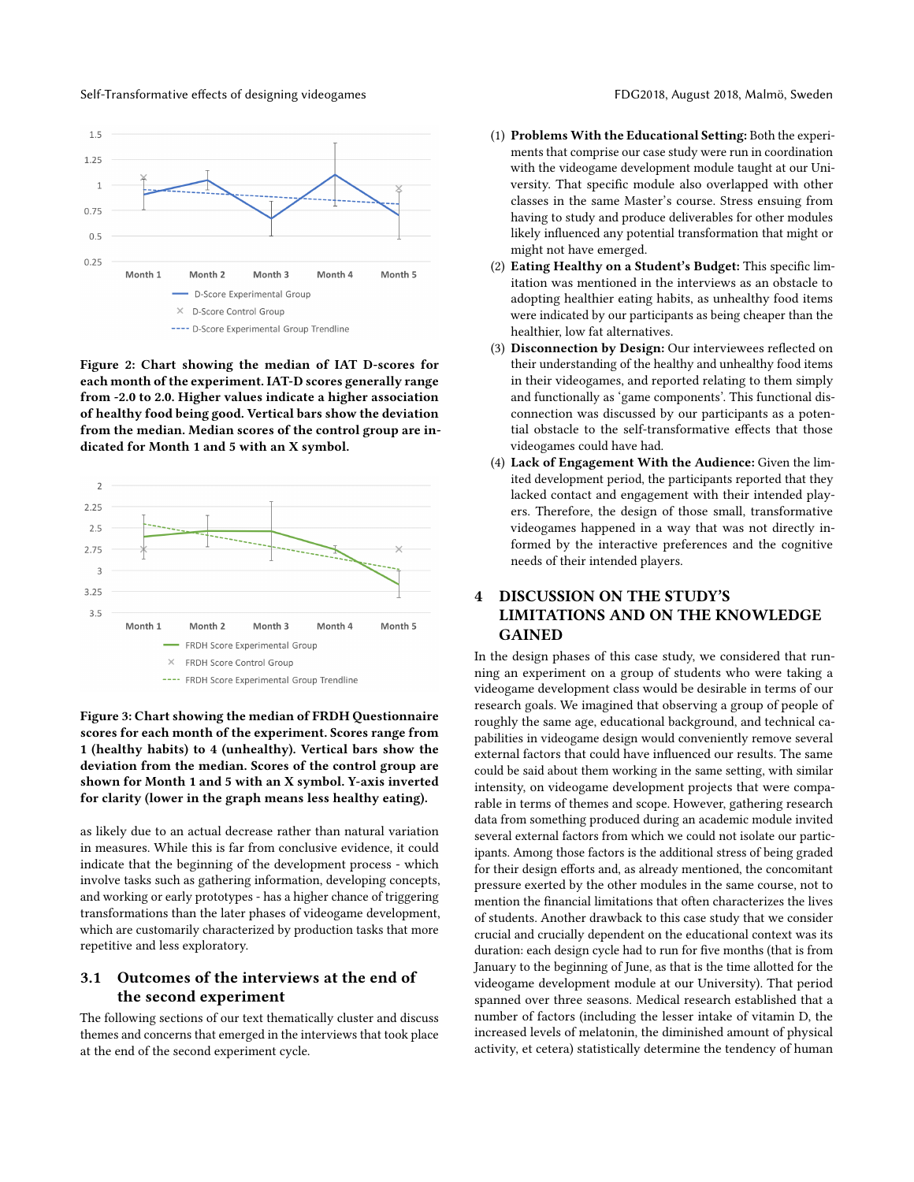Self-Transformative effects of designing videogames FDG2018, August 2018, Malmö, Sweden

<span id="page-2-0"></span>

Figure 2: Chart showing the median of IAT D-scores for each month of the experiment. IAT-D scores generally range from -2.0 to 2.0. Higher values indicate a higher association of healthy food being good. Vertical bars show the deviation from the median. Median scores of the control group are indicated for Month 1 and 5 with an X symbol.

<span id="page-2-1"></span>

Figure 3: Chart showing the median of FRDH Questionnaire scores for each month of the experiment. Scores range from 1 (healthy habits) to 4 (unhealthy). Vertical bars show the deviation from the median. Scores of the control group are shown for Month 1 and 5 with an X symbol. Y-axis inverted for clarity (lower in the graph means less healthy eating).

as likely due to an actual decrease rather than natural variation in measures. While this is far from conclusive evidence, it could indicate that the beginning of the development process - which involve tasks such as gathering information, developing concepts, and working or early prototypes - has a higher chance of triggering transformations than the later phases of videogame development, which are customarily characterized by production tasks that more repetitive and less exploratory.

# 3.1 Outcomes of the interviews at the end of the second experiment

The following sections of our text thematically cluster and discuss themes and concerns that emerged in the interviews that took place at the end of the second experiment cycle.

- (1) Problems With the Educational Setting: Both the experiments that comprise our case study were run in coordination with the videogame development module taught at our University. That specific module also overlapped with other classes in the same Master's course. Stress ensuing from having to study and produce deliverables for other modules likely influenced any potential transformation that might or might not have emerged.
- (2) Eating Healthy on a Student's Budget: This specific limitation was mentioned in the interviews as an obstacle to adopting healthier eating habits, as unhealthy food items were indicated by our participants as being cheaper than the healthier, low fat alternatives.
- (3) Disconnection by Design: Our interviewees reflected on their understanding of the healthy and unhealthy food items in their videogames, and reported relating to them simply and functionally as 'game components'. This functional disconnection was discussed by our participants as a potential obstacle to the self-transformative effects that those videogames could have had.
- (4) Lack of Engagement With the Audience: Given the limited development period, the participants reported that they lacked contact and engagement with their intended players. Therefore, the design of those small, transformative videogames happened in a way that was not directly informed by the interactive preferences and the cognitive needs of their intended players.

# 4 DISCUSSION ON THE STUDY'S LIMITATIONS AND ON THE KNOWLEDGE GAINED

In the design phases of this case study, we considered that running an experiment on a group of students who were taking a videogame development class would be desirable in terms of our research goals. We imagined that observing a group of people of roughly the same age, educational background, and technical capabilities in videogame design would conveniently remove several external factors that could have influenced our results. The same could be said about them working in the same setting, with similar intensity, on videogame development projects that were comparable in terms of themes and scope. However, gathering research data from something produced during an academic module invited several external factors from which we could not isolate our participants. Among those factors is the additional stress of being graded for their design efforts and, as already mentioned, the concomitant pressure exerted by the other modules in the same course, not to mention the financial limitations that often characterizes the lives of students. Another drawback to this case study that we consider crucial and crucially dependent on the educational context was its duration: each design cycle had to run for five months (that is from January to the beginning of June, as that is the time allotted for the videogame development module at our University). That period spanned over three seasons. Medical research established that a number of factors (including the lesser intake of vitamin D, the increased levels of melatonin, the diminished amount of physical activity, et cetera) statistically determine the tendency of human